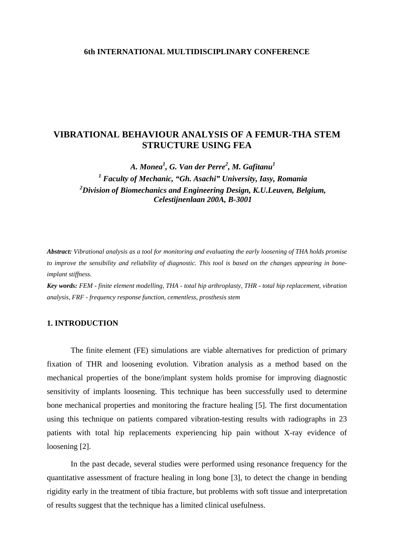### **6th INTERNATIONAL MULTIDISCIPLINARY CONFERENCE**

# **VIBRATIONAL BEHAVIOUR ANALYSIS OF A FEMUR-THA STEM STRUCTURE USING FEA**

*A. Monea<sup>1</sup> , G. Van der Perre<sup>2</sup> , M. Gafitanu<sup>1</sup> <sup>1</sup> Faculty of Mechanic, "Gh. Asachi" University, Iasy, Romania 2 Division of Biomechanics and Engineering Design, K.U.Leuven, Belgium, Celestijnenlaan 200A, B-3001* 

*Abstract: Vibrational analysis as a tool for monitoring and evaluating the early loosening of THA holds promise to improve the sensibility and reliability of diagnostic. This tool is based on the changes appearing in boneimplant stiffness.*

*Key words: FEM - finite element modelling, THA - total hip arthroplasty, THR - total hip replacement, vibration analysis, FRF - frequency response function, cementless, prosthesis stem* 

# **1. INTRODUCTION**

The finite element (FE) simulations are viable alternatives for prediction of primary fixation of THR and loosening evolution. Vibration analysis as a method based on the mechanical properties of the bone/implant system holds promise for improving diagnostic sensitivity of implants loosening. This technique has been successfully used to determine bone mechanical properties and monitoring the fracture healing [5]. The first documentation using this technique on patients compared vibration-testing results with radiographs in 23 patients with total hip replacements experiencing hip pain without X-ray evidence of loosening [2].

In the past decade, several studies were performed using resonance frequency for the quantitative assessment of fracture healing in long bone [3], to detect the change in bending rigidity early in the treatment of tibia fracture, but problems with soft tissue and interpretation of results suggest that the technique has a limited clinical usefulness.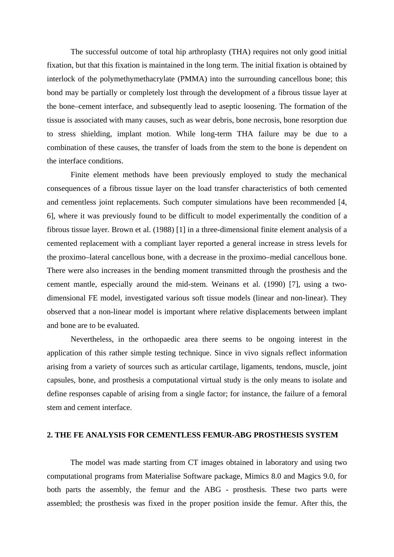The successful outcome of total hip arthroplasty (THA) requires not only good initial fixation, but that this fixation is maintained in the long term. The initial fixation is obtained by interlock of the polymethymethacrylate (PMMA) into the surrounding cancellous bone; this bond may be partially or completely lost through the development of a fibrous tissue layer at the bone–cement interface, and subsequently lead to aseptic loosening. The formation of the tissue is associated with many causes, such as wear debris, bone necrosis, bone resorption due to stress shielding, implant motion. While long-term THA failure may be due to a combination of these causes, the transfer of loads from the stem to the bone is dependent on the interface conditions.

Finite element methods have been previously employed to study the mechanical consequences of a fibrous tissue layer on the load transfer characteristics of both cemented and cementless joint replacements. Such computer simulations have been recommended [4, 6], where it was previously found to be difficult to model experimentally the condition of a fibrous tissue layer. Brown et al. (1988) [1] in a three-dimensional finite element analysis of a cemented replacement with a compliant layer reported a general increase in stress levels for the proximo–lateral cancellous bone, with a decrease in the proximo–medial cancellous bone. There were also increases in the bending moment transmitted through the prosthesis and the cement mantle, especially around the mid-stem. Weinans et al. (1990) [7], using a twodimensional FE model, investigated various soft tissue models (linear and non-linear). They observed that a non-linear model is important where relative displacements between implant and bone are to be evaluated.

Nevertheless, in the orthopaedic area there seems to be ongoing interest in the application of this rather simple testing technique. Since in vivo signals reflect information arising from a variety of sources such as articular cartilage, ligaments, tendons, muscle, joint capsules, bone, and prosthesis a computational virtual study is the only means to isolate and define responses capable of arising from a single factor; for instance, the failure of a femoral stem and cement interface.

#### **2. THE FE ANALYSIS FOR CEMENTLESS FEMUR-ABG PROSTHESIS SYSTEM**

 The model was made starting from CT images obtained in laboratory and using two computational programs from Materialise Software package, Mimics 8.0 and Magics 9.0, for both parts the assembly, the femur and the ABG - prosthesis. These two parts were assembled; the prosthesis was fixed in the proper position inside the femur. After this, the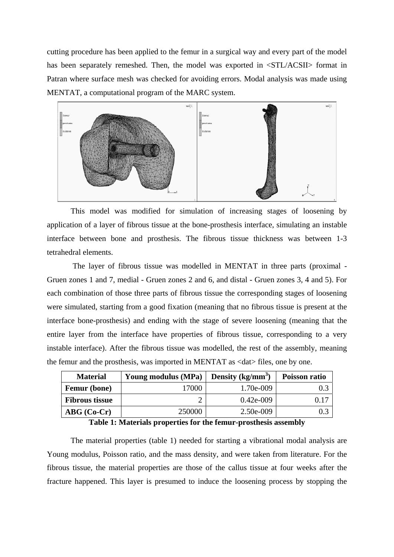cutting procedure has been applied to the femur in a surgical way and every part of the model has been separately remeshed. Then, the model was exported in  $\langle STL/ACSII \rangle$  format in Patran where surface mesh was checked for avoiding errors. Modal analysis was made using MENTAT, a computational program of the MARC system.



This model was modified for simulation of increasing stages of loosening by application of a layer of fibrous tissue at the bone-prosthesis interface, simulating an instable interface between bone and prosthesis. The fibrous tissue thickness was between 1-3 tetrahedral elements.

 The layer of fibrous tissue was modelled in MENTAT in three parts (proximal - Gruen zones 1 and 7, medial - Gruen zones 2 and 6, and distal - Gruen zones 3, 4 and 5). For each combination of those three parts of fibrous tissue the corresponding stages of loosening were simulated, starting from a good fixation (meaning that no fibrous tissue is present at the interface bone-prosthesis) and ending with the stage of severe loosening (meaning that the entire layer from the interface have properties of fibrous tissue, corresponding to a very instable interface). After the fibrous tissue was modelled, the rest of the assembly, meaning the femur and the prosthesis, was imported in MENTAT as <dat> files, one by one.

| <b>Material</b>        | Young modulus (MPa) | Density $(kg/mm^3)$ | Poisson ratio |  |
|------------------------|---------------------|---------------------|---------------|--|
| <b>Femur</b> (bone)    | 17000               | 1.70e-009           |               |  |
| <b>Fibrous tissue</b>  |                     | $0.42e-009$         | 0.15          |  |
| $\mathbf{ABG}$ (Co-Cr) | 250000              | 2.50e-009           |               |  |

**Table 1: Materials properties for the femur-prosthesis assembly** 

The material properties (table 1) needed for starting a vibrational modal analysis are Young modulus, Poisson ratio, and the mass density, and were taken from literature. For the fibrous tissue, the material properties are those of the callus tissue at four weeks after the fracture happened. This layer is presumed to induce the loosening process by stopping the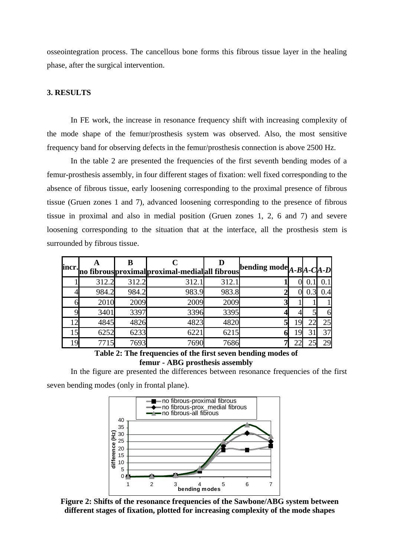osseointegration process. The cancellous bone forms this fibrous tissue layer in the healing phase, after the surgical intervention.

# **3. RESULTS**

In FE work, the increase in resonance frequency shift with increasing complexity of the mode shape of the femur/prosthesis system was observed. Also, the most sensitive frequency band for observing defects in the femur/prosthesis connection is above 2500 Hz.

In the table 2 are presented the frequencies of the first seventh bending modes of a femur-prosthesis assembly, in four different stages of fixation: well fixed corresponding to the absence of fibrous tissue, early loosening corresponding to the proximal presence of fibrous tissue (Gruen zones 1 and 7), advanced loosening corresponding to the presence of fibrous tissue in proximal and also in medial position (Gruen zones 1, 2, 6 and 7) and severe loosening corresponding to the situation that at the interface, all the prosthesis stem is surrounded by fibrous tissue.

| incr. |       |       | ino fibrous proximal proximal-medial all fibrous bending mode $A$ - $B$ $A$ - $C$ $A$ - $D$ |       |   |  |    |
|-------|-------|-------|---------------------------------------------------------------------------------------------|-------|---|--|----|
|       | 312.2 | 312.2 | 312.1                                                                                       | 312.1 |   |  |    |
|       | 984.2 | 984.2 | 983.9                                                                                       | 983.8 |   |  |    |
|       | 2010  | 2009  | 2009                                                                                        | 2009  |   |  |    |
|       | 3401  | 3397  | 3396                                                                                        | 3395  |   |  | 61 |
|       | 4845  | 4826  | 4823                                                                                        | 4820  |   |  | 25 |
|       | 6252  | 6233  | 6221                                                                                        | 6215  | O |  | 37 |
| Q     |       | 7693  | 7690                                                                                        | 7686  |   |  | 29 |

**Table 2: The frequencies of the first seven bending modes of femur - ABG prosthesis assembly** 

In the figure are presented the differences between resonance frequencies of the first seven bending modes (only in frontal plane).



**Figure 2: Shifts of the resonance frequencies of the Sawbone/ABG system between different stages of fixation, plotted for increasing complexity of the mode shapes**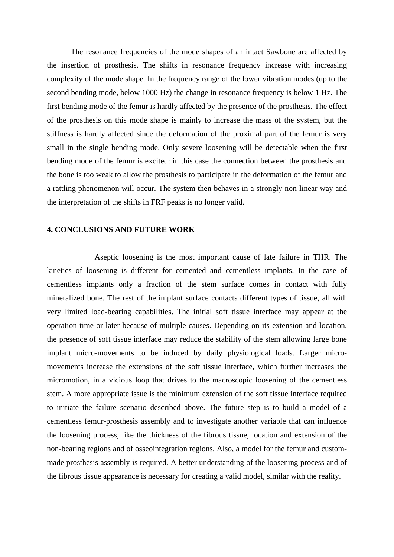The resonance frequencies of the mode shapes of an intact Sawbone are affected by the insertion of prosthesis. The shifts in resonance frequency increase with increasing complexity of the mode shape. In the frequency range of the lower vibration modes (up to the second bending mode, below 1000 Hz) the change in resonance frequency is below 1 Hz. The first bending mode of the femur is hardly affected by the presence of the prosthesis. The effect of the prosthesis on this mode shape is mainly to increase the mass of the system, but the stiffness is hardly affected since the deformation of the proximal part of the femur is very small in the single bending mode. Only severe loosening will be detectable when the first bending mode of the femur is excited: in this case the connection between the prosthesis and the bone is too weak to allow the prosthesis to participate in the deformation of the femur and a rattling phenomenon will occur. The system then behaves in a strongly non-linear way and the interpretation of the shifts in FRF peaks is no longer valid.

### **4. CONCLUSIONS AND FUTURE WORK**

 Aseptic loosening is the most important cause of late failure in THR. The kinetics of loosening is different for cemented and cementless implants. In the case of cementless implants only a fraction of the stem surface comes in contact with fully mineralized bone. The rest of the implant surface contacts different types of tissue, all with very limited load-bearing capabilities. The initial soft tissue interface may appear at the operation time or later because of multiple causes. Depending on its extension and location, the presence of soft tissue interface may reduce the stability of the stem allowing large bone implant micro-movements to be induced by daily physiological loads. Larger micromovements increase the extensions of the soft tissue interface, which further increases the micromotion, in a vicious loop that drives to the macroscopic loosening of the cementless stem. A more appropriate issue is the minimum extension of the soft tissue interface required to initiate the failure scenario described above. The future step is to build a model of a cementless femur-prosthesis assembly and to investigate another variable that can influence the loosening process, like the thickness of the fibrous tissue, location and extension of the non-bearing regions and of osseointegration regions. Also, a model for the femur and custommade prosthesis assembly is required. A better understanding of the loosening process and of the fibrous tissue appearance is necessary for creating a valid model, similar with the reality.